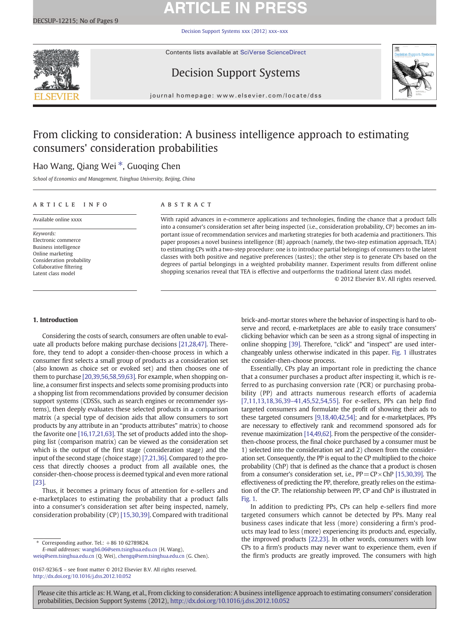# **ARTICLE IN PRESS**

[Decision Support Systems xxx \(2012\) xxx](http://dx.doi.org/10.1016/j.dss.2012.10.052)–xxx



Contents lists available at [SciVerse ScienceDirect](http://www.sciencedirect.com/science/journal/01679236)

## Decision Support Systems



journal homepage: www.elsevier.com/locate/dss

## From clicking to consideration: A business intelligence approach to estimating consumers' consideration probabilities

## Hao Wang, Qiang Wei<sup>\*</sup>, Guoqing Chen

School of Economics and Management, Tsinghua University, Beijing, China

## ARTICLE INFO ABSTRACT

Available online xxxx

Keywords: Electronic commerce Business intelligence Online marketing Consideration probability Collaborative filtering Latent class model

With rapid advances in e-commerce applications and technologies, finding the chance that a product falls into a consumer's consideration set after being inspected (i.e., consideration probability, CP) becomes an important issue of recommendation services and marketing strategies for both academia and practitioners. This paper proposes a novel business intelligence (BI) approach (namely, the two-step estimation approach, TEA) to estimating CPs with a two-step procedure: one is to introduce partial belongings of consumers to the latent classes with both positive and negative preferences (tastes); the other step is to generate CPs based on the degrees of partial belongings in a weighted probability manner. Experiment results from different online shopping scenarios reveal that TEA is effective and outperforms the traditional latent class model.

© 2012 Elsevier B.V. All rights reserved.

### 1. Introduction

Considering the costs of search, consumers are often unable to evaluate all products before making purchase decisions [\[21,28,47\].](#page--1-0) Therefore, they tend to adopt a consider-then-choose process in which a consumer first selects a small group of products as a consideration set (also known as choice set or evoked set) and then chooses one of them to purchase [\[20,39,56,58,59,63\].](#page--1-0) For example, when shopping online, a consumer first inspects and selects some promising products into a shopping list from recommendations provided by consumer decision support systems (CDSSs, such as search engines or recommender systems), then deeply evaluates these selected products in a comparison matrix (a special type of decision aids that allow consumers to sort products by any attribute in an "products attributes" matrix) to choose the favorite one [\[16,17,21,63\].](#page--1-0) The set of products added into the shopping list (comparison matrix) can be viewed as the consideration set which is the output of the first stage (consideration stage) and the input of the second stage (choice stage) [\[7,21,36\]](#page--1-0). Compared to the process that directly chooses a product from all available ones, the consider-then-choose process is deemed typical and even more rational [\[23\].](#page--1-0)

Thus, it becomes a primary focus of attention for e-sellers and e-marketplaces to estimating the probability that a product falls into a consumer's consideration set after being inspected, namely, consideration probability (CP) [\[15,30,39\].](#page--1-0) Compared with traditional

⁎ Corresponding author. Tel.: +86 10 62789824.

E-mail addresses: [wangh6.06@sem.tsinghua.edu.cn](mailto:wangh6.06@sem.tsinghua.edu.cn) (H. Wang), [weiq@sem.tsinghua.edu.cn](mailto:weiq@sem.tsinghua.edu.cn) (Q. Wei), [chengq@sem.tsinghua.edu.cn](mailto:chengq@sem.tsinghua.edu.cn) (G. Chen). brick-and-mortar stores where the behavior of inspecting is hard to observe and record, e-marketplaces are able to easily trace consumers' clicking behavior which can be seen as a strong signal of inspecting in online shopping [\[39\]](#page--1-0). Therefore, "click" and "inspect" are used interchangeably unless otherwise indicated in this paper. [Fig. 1](#page-1-0) illustrates the consider-then-choose process.

Essentially, CPs play an important role in predicting the chance that a consumer purchases a product after inspecting it, which is referred to as purchasing conversion rate (PCR) or purchasing probability (PP) and attracts numerous research efforts of academia [\[7,11,13,18,36,39](#page--1-0)–41,45,52,54,55]. For e-sellers, PPs can help find targeted consumers and formulate the profit of showing their ads to these targeted consumers [\[9,18,40,42,54\];](#page--1-0) and for e-marketplaces, PPs are necessary to effectively rank and recommend sponsored ads for revenue maximization [\[14,49,62\]](#page--1-0). From the perspective of the considerthen-choose process, the final choice purchased by a consumer must be 1) selected into the consideration set and 2) chosen from the consideration set. Consequently, the PP is equal to the CP multiplied to the choice probability (ChP) that is defined as the chance that a product is chosen from a consumer's consideration set, i.e.,  $PP = CP \times ChP$  [\[15,30,39\]](#page--1-0). The effectiveness of predicting the PP, therefore, greatly relies on the estimation of the CP. The relationship between PP, CP and ChP is illustrated in [Fig. 1.](#page-1-0)

In addition to predicting PPs, CPs can help e-sellers find more targeted consumers which cannot be detected by PPs. Many real business cases indicate that less (more) considering a firm's products may lead to less (more) experiencing its products and, especially, the improved products [\[22,23\]](#page--1-0). In other words, consumers with low CPs to a firm's products may never want to experience them, even if the firm's products are greatly improved. The consumers with high

Please cite this article as: H. Wang, et al., From clicking to consideration: A business intelligence approach to estimating consumers' consideration probabilities, Decision Support Systems (2012), <http://dx.doi.org/10.1016/j.dss.2012.10.052>

<sup>0167-9236/\$</sup> – see front matter © 2012 Elsevier B.V. All rights reserved. <http://dx.doi.org/10.1016/j.dss.2012.10.052>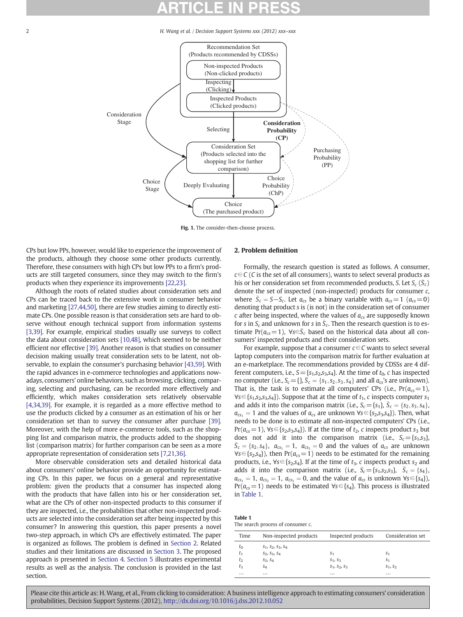<span id="page-1-0"></span>2 **H. Wang et al.** / Decision Support Systems xxx (2012) xxx–xxx



Fig. 1. The consider-then-choose process.

CPs but low PPs, however, would like to experience the improvement of the products, although they choose some other products currently. Therefore, these consumers with high CPs but low PPs to a firm's products are still targeted consumers, since they may switch to the firm's products when they experience its improvements [\[22,23\]](#page--1-0).

Although the roots of related studies about consideration sets and CPs can be traced back to the extensive work in consumer behavior and marketing [\[27,44,50\],](#page--1-0) there are few studies aiming to directly estimate CPs. One possible reason is that consideration sets are hard to observe without enough technical support from information systems [\[3,39\]](#page--1-0). For example, empirical studies usually use surveys to collect the data about consideration sets [\[10,48\],](#page--1-0) which seemed to be neither efficient nor effective [\[39\].](#page--1-0) Another reason is that studies on consumer decision making usually treat consideration sets to be latent, not observable, to explain the consumer's purchasing behavior [\[43,59\].](#page--1-0) With the rapid advances in e-commerce technologies and applications nowadays, consumers' online behaviors, such as browsing, clicking, comparing, selecting and purchasing, can be recorded more effectively and efficiently, which makes consideration sets relatively observable [\[4,34,39\].](#page--1-0) For example, it is regarded as a more effective method to use the products clicked by a consumer as an estimation of his or her consideration set than to survey the consumer after purchase [\[39\].](#page--1-0) Moreover, with the help of more e-commerce tools, such as the shopping list and comparison matrix, the products added to the shopping list (comparison matrix) for further comparison can be seen as a more appropriate representation of consideration sets [\[7,21,36\]](#page--1-0).

More observable consideration sets and detailed historical data about consumers' online behavior provide an opportunity for estimating CPs. In this paper, we focus on a general and representative problem: given the products that a consumer has inspected along with the products that have fallen into his or her consideration set, what are the CPs of other non-inspected products to this consumer if they are inspected, i.e., the probabilities that other non-inspected products are selected into the consideration set after being inspected by this consumer? In answering this question, this paper presents a novel two-step approach, in which CPs are effectively estimated. The paper is organized as follows. The problem is defined in Section 2. Related studies and their limitations are discussed in [Section 3](#page--1-0). The proposed approach is presented in [Section 4](#page--1-0). [Section 5](#page--1-0) illustrates experimental results as well as the analysis. The conclusion is provided in the last section.

### 2. Problem definition

Formally, the research question is stated as follows. A consumer,  $c \in \mathcal{C}$  (C is the set of all consumers), wants to select several products as his or her consideration set from recommended products, S. Let  $S_c$  ( $\overline{S_c}$ ) denote the set of inspected (non-inspected) products for consumer c, where  $\bar{S}_c = S - S_c$ . Let  $a_{cs}$  be a binary variable with  $a_{cs} = 1$  ( $a_{cs} = 0$ ) denoting that product s is (is not) in the consideration set of consumer  $c$  after being inspected, where the values of  $a_{cs}$  are supposedly known for s in  $S_c$  and unknown for s in  $\bar{S}_c$ . Then the research question is to estimate Pr( $a_{cs}=1$ ),  $\forall s\in\bar{S}_c$  based on the historical data about all consumers' inspected products and their consideration sets.

For example, suppose that a consumer  $c \in \mathcal{C}$  wants to select several laptop computers into the comparison matrix for further evaluation at an e-marketplace. The recommendations provided by CDSSs are 4 different computers, i.e.,  $S = \{s_1, s_2, s_3, s_4\}$ . At the time of  $t_0$ , c has inspected no computer (i.e.,  $S_c = \{\}, \bar{S}_c = \{s_1, s_2, s_3, s_4\}$  and all  $a_{cs}$ 's are unknown). That is, the task is to estimate all computers' CPs (i.e.,  $Pr(a_{cs}=1)$ ,  $\forall s \in \{s_1, s_2, s_3, s_4\}$ . Suppose that at the time of  $t_1$ , c inspects computer  $s_1$ and adds it into the comparison matrix (i.e.,  $S_c = \{s_1\}, \overline{S}_c = \{s_2, s_3, s_4\},\$  $a_{cs} = 1$  and the values of  $a_{cs}$  are unknown  $\forall s \in \{s_2, s_3, s_4\}$ . Then, what needs to be done is to estimate all non-inspected computers' CPs (i.e.,  $Pr(a_{cs} = 1)$ ,  $\forall s \in \{s_2, s_3, s_4\}$ . If at the time of  $t_2$ , c inspects product  $s_3$  but does not add it into the comparison matrix (i.e.,  $S_c = \{s_1, s_3\}$ ,  $\bar{S}_c = \{s_2, s_4\}, a_{cs_1} = 1, a_{cs_3} = 0$  and the values of  $a_{cs}$  are unknown  $\forall s \in \{s_2, s_4\}$ , then Pr( $a_{cs}=1$ ) needs to be estimated for the remaining products, i.e.,  $\forall s \in \{s_2, s_4\}$ . If at the time of  $t_3$ , c inspects product  $s_2$  and adds it into the comparison matrix (i.e.,  $S_c = \{s_1, s_2, s_3\}$ ,  $S_c = \{s_4\}$ ,  $a_{cs_1} = 1$ ,  $a_{cs_2} = 1$ ,  $a_{cs_3} = 0$ , and the value of  $a_{cs}$  is unknown  $\forall s \in \{s_4\}$ ,  $Pr(a_{cs}=1)$  needs to be estimated  $\forall s \in \{s_4\}$ . This process is illustrated in Table 1.

| Table 1                       |  |  |
|-------------------------------|--|--|
| The coarch process of concurr |  |  |

| The search process of consumer c. |  |
|-----------------------------------|--|
|-----------------------------------|--|

| Time     | Non-inspected products        | Inspected products | Consideration set |
|----------|-------------------------------|--------------------|-------------------|
| $t_0$    | $S_1$ , $S_2$ , $S_3$ , $S_4$ |                    |                   |
| $t_{1}$  | $S_2, S_3, S_4$               | S <sub>1</sub>     | S <sub>1</sub>    |
| $t_2$    | $S_2, S_4$                    | $S_1, S_3$         | S <sub>1</sub>    |
| tз       | S4                            | $S_1, S_2, S_3$    | $S_1, S_2$        |
| $\cdots$ | $\cdots$                      | $\cdots$           | $\cdots$          |

Please cite this article as: H. Wang, et al., From clicking to consideration: A business intelligence approach to estimating consumers' consideration probabilities, Decision Support Systems (2012), <http://dx.doi.org/10.1016/j.dss.2012.10.052>